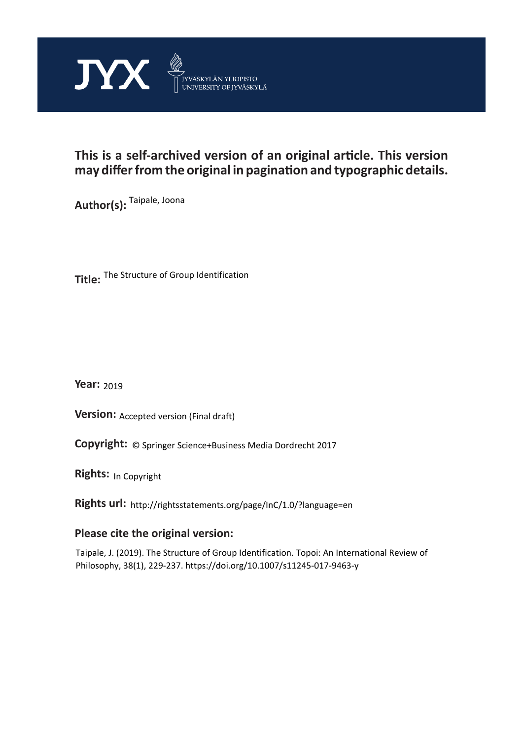

# **This is a self-archived version of an original article. This version may differ from the original in pagination and typographic details.**

**Author(s):**  Taipale, Joona

**Title:**  The Structure of Group Identification

**Year:**  2019

**Version: Accepted version (Final draft)** 

**Version:** Accepted version (Final draft)<br>**Copyright:** © Springer Science+Business Media Dordrecht 2017

**Rights:** In Copyright

**Rights url:**  http://rightsstatements.org/page/InC/1.0/?language=en

# **Please cite the original version:**

Taipale, J. (2019). The Structure of Group Identification. Topoi: An International Review of Philosophy, 38(1), 229-237. https://doi.org/10.1007/s11245-017-9463-y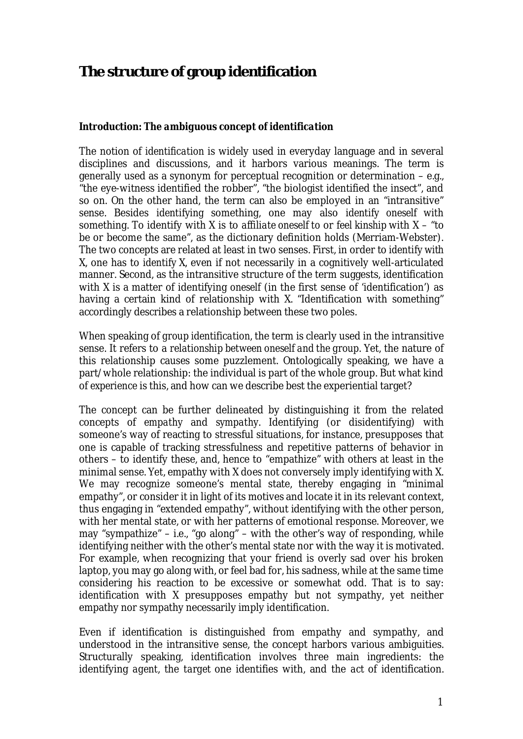# **The structure of group identification**

*Introduction: The ambiguous concept of identification*

The notion of *identification* is widely used in everyday language and in several disciplines and discussions, and it harbors various meanings. The term is generally used as a synonym for perceptual recognition or determination – e.g., "the eye-witness identified the robber", "the biologist identified the insect", and so on. On the other hand, the term can also be employed in an "intransitive" sense. Besides *identifying* something, one may also *identify oneself with* something. To identify with X is to *affiliate oneself to* or *feel kinship* with X – "to be or become the same", as the dictionary definition holds (Merriam-Webster). The two concepts are related at least in two senses. First, in order to *identify with* X, one has to *identify* X, even if not necessarily in a cognitively well-articulated manner. Second, as the intransitive structure of the term suggests, identification with X is a matter of identifying *oneself* (in the first sense of 'identification') as having a certain kind of relationship with X. "Identification with something" accordingly describes a relationship between these two poles.

When speaking of *group identification*, the term is clearly used in the intransitive sense. It refers to a *relationship between oneself and the group*. Yet, the nature of this relationship causes some puzzlement. Ontologically speaking, we have a part/whole relationship: the individual is part of the whole group. But what kind of *experience* is this, and how can we describe best the experiential target?

The concept can be further delineated by distinguishing it from the related concepts of *empathy* and *sympathy*. Identifying (or disidentifying) with someone's way of reacting to stressful situations, for instance, presupposes that one is capable of tracking stressfulness and repetitive patterns of behavior in others – to identify these, and, hence to "empathize" with others at least in the minimal sense. Yet, empathy with X does not conversely imply identifying with X. We may recognize someone's mental state, thereby engaging in "minimal empathy", or consider it in light of its motives and locate it in its relevant context, thus engaging in "extended empathy", without identifying with the other person, with her mental state, or with her patterns of emotional response. Moreover, we may "sympathize" – i.e., "go along" – with the other's way of responding, while identifying neither with the other's mental state nor with the way it is motivated. For example, when recognizing that your friend is overly sad over his broken laptop, you may go along with, or feel bad for, his sadness, while at the same time considering his reaction to be excessive or somewhat odd. That is to say: identification with X presupposes empathy but not sympathy, yet neither empathy nor sympathy necessarily imply identification.

Even if identification is distinguished from empathy and sympathy, and understood in the intransitive sense, the concept harbors various ambiguities. Structurally speaking, identification involves three main ingredients: the identifying *agent*, the *target* one identifies with, and the *act* of identification.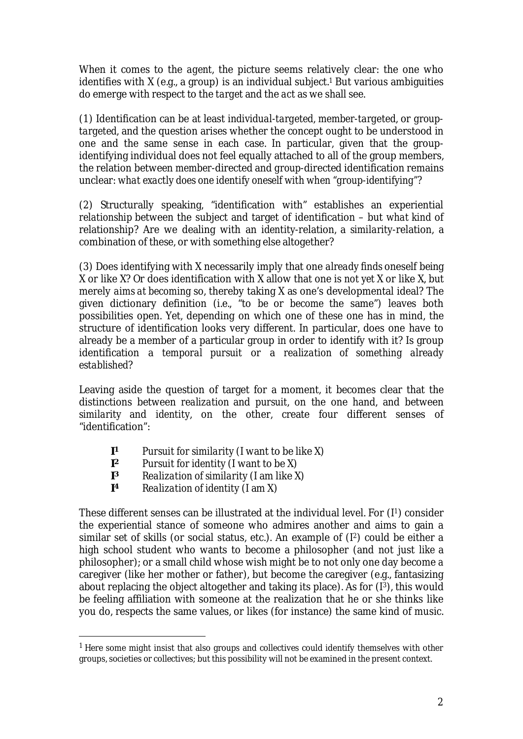When it comes to the *agent*, the picture seems relatively clear: the one who identifies with X (e.g., a group) is an individual subject.<sup>1</sup> But various ambiguities do emerge with respect to the *target* and the *act* as we shall see.

(1) Identification can be at least *individual-targeted*, *member-targeted*, or *grouptargeted*, and the question arises whether the concept ought to be understood in one and the same sense in each case. In particular, given that the groupidentifying individual does not feel equally attached to all of the group members, the relation between *member*-directed and *group*-directed identification remains unclear: *what exactly does one identify oneself with when "group-identifying"?*

(2) Structurally speaking, "identification with" establishes an experiential *relationship* between the subject and target of identification – but *what kind* of relationship? Are we dealing with an *identity*-relation*,* a *similarity*-relation, a combination of these, or with something else altogether?

(3) Does identifying with X necessarily imply that one *already finds* oneself being X or like X? Or does identification with X allow that one is *not yet* X or like X, but merely *aims at becoming* so, thereby taking X as one's developmental ideal? The given dictionary definition (i.e., "to *be* or *become* the same") leaves both possibilities open. Yet, depending on which one of these one has in mind, the structure of identification looks very different. In particular, does one have to already be a member of a particular group in order to identify with it? Is group identification a *temporal pursuit* or a *realization of something already established*?

Leaving aside the question of target for a moment, it becomes clear that the distinctions between *realization* and *pursuit*, on the one hand, and between *similarity* and *identity*, on the other, create four different senses of "identification":

- **I <sup>1</sup>** *Pursuit for similarity* (I want to be like X)
- $\vert$ <sup>2</sup> **<sup>2</sup>** *Pursuit for identity* (I want to be X)
- **I <sup>3</sup>** *Realization of similarity* (I am like X)
- **I <sup>4</sup>** *Realization of identity* (I am X)

These different senses can be illustrated at the individual level. For (I1) consider the experiential stance of someone who admires another and aims to gain a similar set of skills (or social status, etc.). An example of (I2) could be either a high school student who wants to become a philosopher (and not just *like* a philosopher); or a small child whose wish might be to not only one day become *a* caregiver (like her mother or father), but become *the* caregiver (e.g., fantasizing about replacing the object altogether and taking its place). As for  $(1^3)$ , this would be feeling affiliation with someone at the realization that he or she thinks like you do, respects the same values, or likes (for instance) the same kind of music.

 $<sup>1</sup>$  Here some might insist that also groups and collectives could identify themselves with other</sup> groups, societies or collectives; but this possibility will not be examined in the present context.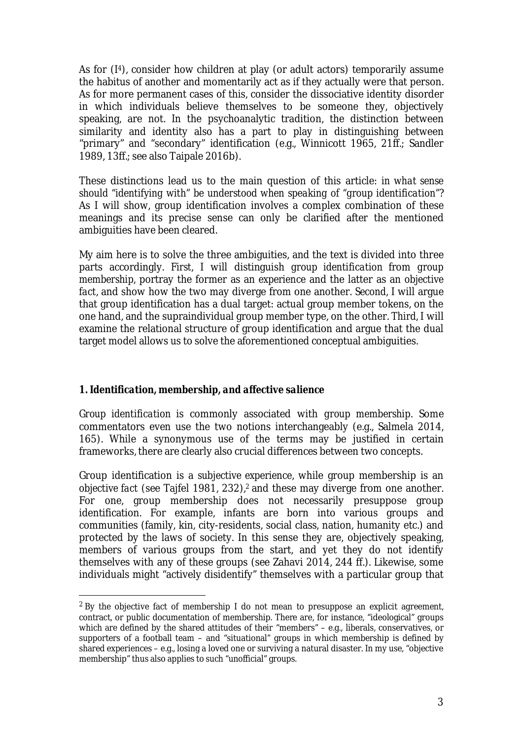As for  $(14)$ , consider how children at play (or adult actors) temporarily assume the habitus of another and momentarily act as if they actually were that person. As for more permanent cases of this, consider the dissociative identity disorder in which individuals believe themselves to be someone they, objectively speaking, are not. In the psychoanalytic tradition, the distinction between similarity and identity also has a part to play in distinguishing between "primary" and "secondary" identification (e.g., Winnicott 1965, 21ff.; Sandler 1989, 13ff.; see also Taipale 2016b).

These distinctions lead us to the main question of this article: *in what sense should "identifying with" be understood when speaking of "group identification"*? As I will show, group identification involves a complex combination of these meanings and its precise sense can only be clarified after the mentioned ambiguities have been cleared.

My aim here is to solve the three ambiguities, and the text is divided into three parts accordingly. *First*, I will distinguish *group identification* from *group membership*, portray the former as an *experience* and the latter as an *objective fact*, and show how the two may diverge from one another. *Second*, I will argue that group identification has a dual target: actual group member tokens, on the one hand, and the supraindividual group member type, on the other. *Third*, I will examine the relational structure of group identification and argue that the dual target model allows us to solve the aforementioned conceptual ambiguities.

# *1. Identification, membership, and affective salience*

*Group identification* is commonly associated with *group membership*. Some commentators even use the two notions interchangeably (e.g., Salmela 2014, 165). While a synonymous use of the terms may be justified in certain frameworks, there are clearly also crucial differences between two concepts.

Group identification is a *subjective experience*, while group membership is an *objective fact* (see Tajfel 1981, 232),2 and these may diverge from one another. For one, group membership does not necessarily presuppose group identification. For example, infants are born into various groups and communities (family, kin, city-residents, social class, nation, humanity etc.) and protected by the laws of society. In this sense they are, objectively speaking, members of various groups from the start, and yet they do not identify themselves with any of these groups (see Zahavi 2014, 244 ff.). Likewise, some individuals might "actively disidentify" themselves with a particular group that

<sup>&</sup>lt;sup>2</sup> By the objective fact of membership I do not mean to presuppose an explicit agreement, contract, or public documentation of membership. There are, for instance, "ideological" groups which are defined by the shared attitudes of their "members" – e.g., liberals, conservatives, or supporters of a football team – and "situational" groups in which membership is defined by shared experiences – e.g., losing a loved one or surviving a natural disaster. In my use, "objective membership" thus also applies to such "unofficial" groups.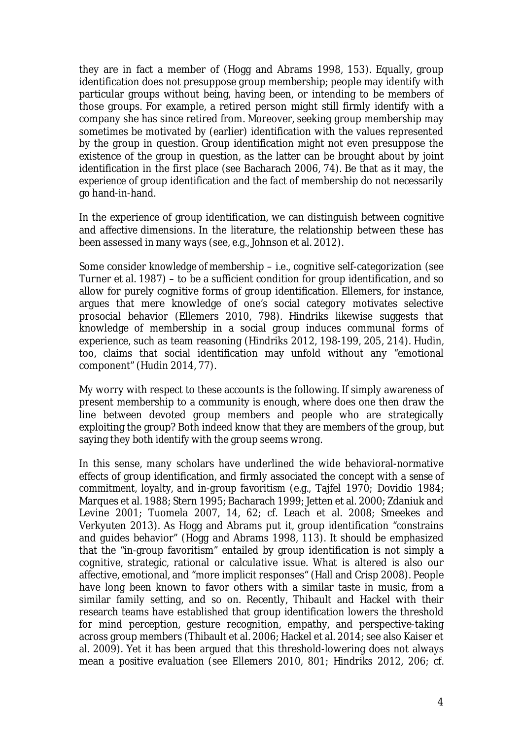they are in fact a member of (Hogg and Abrams 1998, 153). Equally, group identification does not presuppose group membership; people may identify with particular groups without being, having been, or intending to be members of those groups. For example, a retired person might still firmly identify with a company she has since retired from. Moreover, seeking group membership may sometimes be motivated by (earlier) identification with the values represented by the group in question. Group identification might not even presuppose the existence of the group in question, as the latter can be brought about by joint identification in the first place (see Bacharach 2006, 74). Be that as it may, the *experience* of group identification and the *fact* of membership do not necessarily go hand-in-hand.

In the experience of group identification, we can distinguish between *cognitive* and *affective* dimensions. In the literature, the relationship between these has been assessed in many ways (see, e.g., Johnson et al. 2012).

Some consider *knowledge of membership* – i.e., cognitive self-categorization (see Turner et al. 1987) – to be a sufficient condition for group identification, and so allow for purely cognitive forms of group identification. Ellemers, for instance, argues that mere knowledge of one's social category motivates selective prosocial behavior (Ellemers 2010, 798). Hindriks likewise suggests that knowledge of membership in a social group induces communal forms of experience, such as team reasoning (Hindriks 2012, 198-199, 205, 214). Hudin, too, claims that social identification may unfold without any "emotional component" (Hudin 2014, 77).

My worry with respect to these accounts is the following. If simply awareness of present membership to a community is enough, where does one then draw the line between devoted group members and people who are strategically exploiting the group? Both indeed know that they are members of the group, but saying they both *identify* with the group seems wrong.

In this sense, many scholars have underlined the wide behavioral-normative effects of group identification, and firmly associated the concept with a *sense of commitment, loyalty, and in-group favoritism* (e.g., Tajfel 1970; Dovidio 1984; Marques et al. 1988; Stern 1995; Bacharach 1999; Jetten et al. 2000; Zdaniuk and Levine 2001; Tuomela 2007, 14, 62; cf. Leach et al. 2008; Smeekes and Verkyuten 2013). As Hogg and Abrams put it, group identification "constrains and guides behavior" (Hogg and Abrams 1998, 113). It should be emphasized that the "in-group favoritism" entailed by group identification is not simply a cognitive, strategic, rational or calculative issue. What is altered is also our affective, emotional, and "more implicit responses" (Hall and Crisp 2008). People have long been known to favor others with a similar taste in music, from a similar family setting, and so on. Recently, Thibault and Hackel with their research teams have established that group identification lowers the threshold for mind perception, gesture recognition, empathy, and perspective-taking across group members (Thibault et al. 2006; Hackel et al. 2014; see also Kaiser et al. 2009). Yet it has been argued that this threshold-lowering does not always mean a *positive evaluation* (see Ellemers 2010, 801; Hindriks 2012, 206; cf.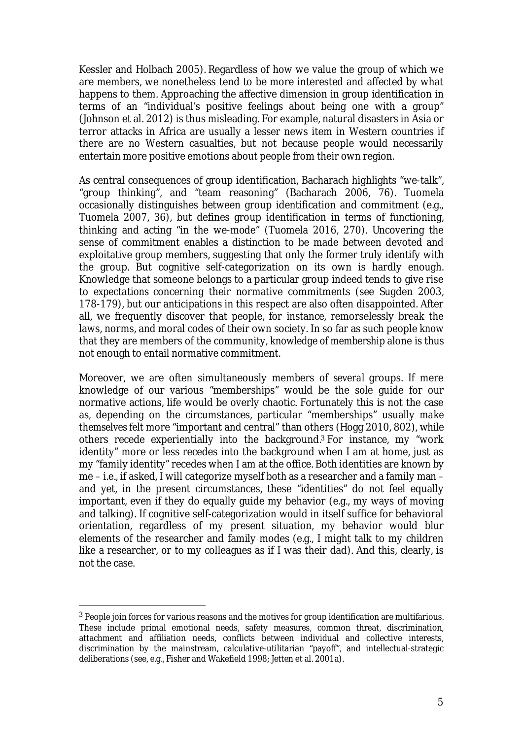Kessler and Holbach 2005). Regardless of how we value the group of which we are members, we nonetheless tend to be more interested and affected by what happens to them. Approaching the affective dimension in group identification in terms of an "individual's positive feelings about being one with a group" (Johnson et al. 2012) is thus misleading. For example, natural disasters in Asia or terror attacks in Africa are usually a lesser news item in Western countries if there are no Western casualties, but not because people would necessarily entertain more positive emotions about people from their own region.

As central consequences of group identification, Bacharach highlights "we-talk", "group thinking", and "team reasoning" (Bacharach 2006, 76). Tuomela occasionally distinguishes between group identification and commitment (e.g., Tuomela 2007, 36), but defines group identification in terms of functioning, thinking and acting "in the we-mode" (Tuomela 2016, 270). Uncovering the sense of commitment enables a distinction to be made between devoted and exploitative group members, suggesting that only the former truly identify with the group. But cognitive self-categorization on its own is hardly enough. Knowledge that someone belongs to a particular group indeed tends to give rise to *expectations* concerning their normative commitments (see Sugden 2003, 178-179), but our anticipations in this respect are also often disappointed. After all, we frequently discover that people, for instance, remorselessly break the laws, norms, and moral codes of their own society. In so far as such people *know* that they are members of the community, *knowledge of membership* alone is thus not enough to entail normative commitment.

Moreover, we are often simultaneously members of *several* groups. If mere knowledge of our various "memberships" would be the sole guide for our normative actions, life would be overly chaotic. Fortunately this is not the case as, depending on the circumstances, particular "memberships" usually *make themselves felt* more "important and central" than others (Hogg 2010, 802), while others recede experientially into the background.3 For instance, my "work identity" more or less recedes into the background when I am at home, just as my "family identity" recedes when I am at the office. Both identities are *known* by me – i.e., if asked, I will categorize myself *both* as a researcher *and* a family man – and yet, in the present circumstances, these "identities" do not feel equally important, even if they do equally guide my behavior (e.g., my ways of moving and talking). If cognitive self-categorization would in itself suffice for behavioral orientation, regardless of my present situation, my behavior would blur elements of the researcher and family modes (e.g., I might talk to my children like a researcher, or to my colleagues as if I was their dad). And this, clearly, is not the case.

<sup>&</sup>lt;sup>3</sup> People join forces for various reasons and the motives for group identification are multifarious. These include primal emotional needs, safety measures, common threat, discrimination, attachment and affiliation needs, conflicts between individual and collective interests, discrimination by the mainstream, calculative-utilitarian "payoff", and intellectual-strategic deliberations (see, e.g., Fisher and Wakefield 1998; Jetten et al. 2001a).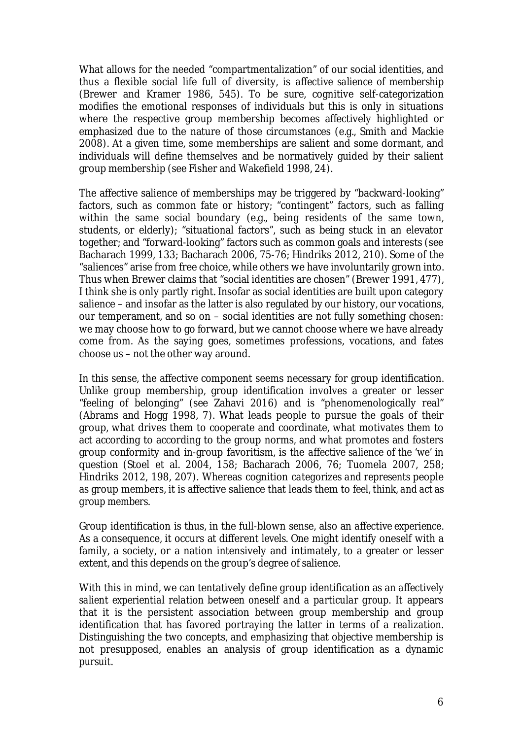What allows for the needed "compartmentalization" of our social identities, and thus a flexible social life full of diversity, is *affective salience of membership* (Brewer and Kramer 1986, 545). To be sure, cognitive self-categorization modifies the emotional responses of individuals but this is only in situations where the respective group membership becomes affectively highlighted or emphasized due to the nature of those circumstances (e.g., Smith and Mackie 2008). At a given time, some memberships are salient and some dormant, and individuals will define themselves and be normatively guided by their *salient* group membership (see Fisher and Wakefield 1998, 24).

The affective salience of memberships may be triggered by "backward-looking" factors, such as common fate or history; "contingent" factors, such as falling within the same social boundary (e.g., being residents of the same town, students, or elderly); "situational factors", such as being stuck in an elevator together; and "forward-looking" factors such as common goals and interests (see Bacharach 1999, 133; Bacharach 2006, 75-76; Hindriks 2012, 210). Some of the "saliences" arise from free choice, while others we have involuntarily grown into. Thus when Brewer claims that "social identities are chosen" (Brewer 1991, 477), I think she is only partly right. Insofar as social identities are built upon category salience – and insofar as the latter is also regulated by our history, our vocations, our temperament, and so on – social identities are not fully something chosen: we may choose how to go forward, but we cannot choose where we have already come from. As the saying goes, sometimes professions, vocations, and fates choose us – not the other way around.

In this sense, the affective component seems necessary for group identification. Unlike group membership, group identification involves a greater or lesser "feeling of belonging" (see Zahavi 2016) and is "phenomenologically real" (Abrams and Hogg 1998, 7). What leads people to pursue the goals of their group, what drives them to cooperate and coordinate, what motivates them to act according to according to the group norms, and what promotes and fosters group conformity and in-group favoritism, is the *affective salience of the 'we'* in question (Stoel et al. 2004, 158; Bacharach 2006, 76; Tuomela 2007, 258; Hindriks 2012, 198, 207). Whereas cognition *categorizes and represents* people as group members, it is affective salience that leads them to *feel, think, and act as group members*.

Group identification is thus, in the full-blown sense, also an *affective experience*. As a consequence, it occurs at different *levels*. One might identify oneself with a family, a society, or a nation intensively and intimately, to a greater or lesser extent, and this depends on the group's degree of salience.

With this in mind, we can tentatively define group identification as an *affectively salient experiential relation between oneself and a particular group*. It appears that it is the persistent association between group membership and group identification that has favored portraying the latter in terms of a *realization*. Distinguishing the two concepts, and emphasizing that objective membership is not presupposed, enables an analysis of group identification as a *dynamic pursuit*.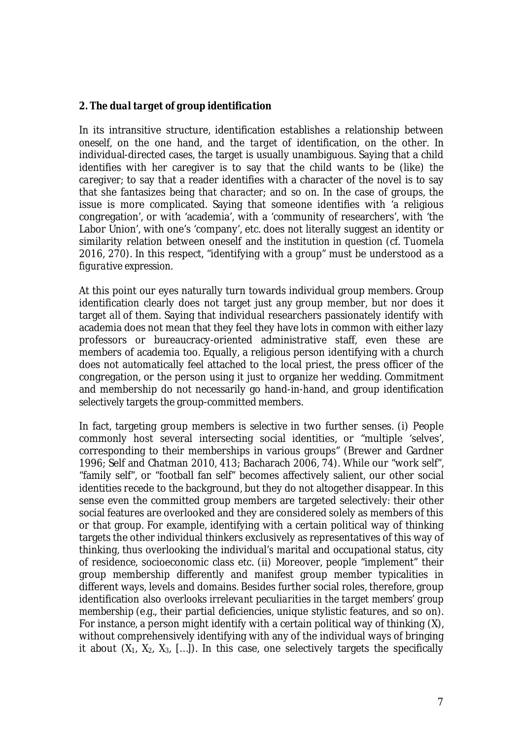#### *2. The dual target of group identification*

In its intransitive structure, identification establishes a relationship between *oneself*, on the one hand, and the *target* of identification, on the other. In individual-directed cases, the target is usually unambiguous. Saying that a child identifies with her caregiver is to say that the child wants to be (like) *the caregiver*; to say that a reader identifies with a character of the novel is to say that she fantasizes being *that character*; and so on. In the case of groups, the issue is more complicated. Saying that someone identifies with 'a religious congregation', or with 'academia', with a 'community of researchers', with 'the Labor Union', with one's 'company', etc. does not literally suggest an identity or similarity relation between oneself and *the institution in question* (cf. Tuomela 2016, 270). In this respect, "identifying with *a group*" must be understood as a *figurative expression*.

At this point our eyes naturally turn towards individual group members. Group identification clearly does not target just *any* group member, but nor does it target *all* of them. Saying that individual researchers passionately identify with academia does not mean that they feel they have lots in common with either lazy professors or bureaucracy-oriented administrative staff, even these are members of academia too. Equally, a religious person identifying with a church does not automatically feel attached to the local priest, the press officer of the congregation, or the person using it just to organize her wedding. Commitment and membership do not necessarily go hand-in-hand, and group identification *selectively* targets the group-committed members.

In fact, targeting group members is *selective* in two further senses. (i) People commonly host several intersecting social identities, or "multiple 'selves', corresponding to their memberships in various groups" (Brewer and Gardner 1996; Self and Chatman 2010, 413; Bacharach 2006, 74). While our "work self", "family self", or "football fan self" becomes affectively salient, our other social identities recede to the background, but they do not altogether disappear. In this sense even the committed group members are targeted selectively: their other social features are overlooked and they are considered solely as members of this or that group. For example, identifying with a certain political way of thinking targets the other individual thinkers exclusively as representatives of this way of thinking, thus overlooking the individual's marital and occupational status, city of residence, socioeconomic class etc. (ii) Moreover, people "implement" their group membership differently and manifest group member typicalities in different ways, levels and domains. Besides further social roles, therefore, group identification also *overlooks irrelevant peculiarities in the target members' group membership* (e.g., their partial deficiencies, unique stylistic features, and so on). For instance, a person might identify with a certain political way of thinking (X), without comprehensively identifying with any of the individual ways of bringing it about  $(X_1, X_2, X_3, \ldots)$ . In this case, one selectively targets the specifically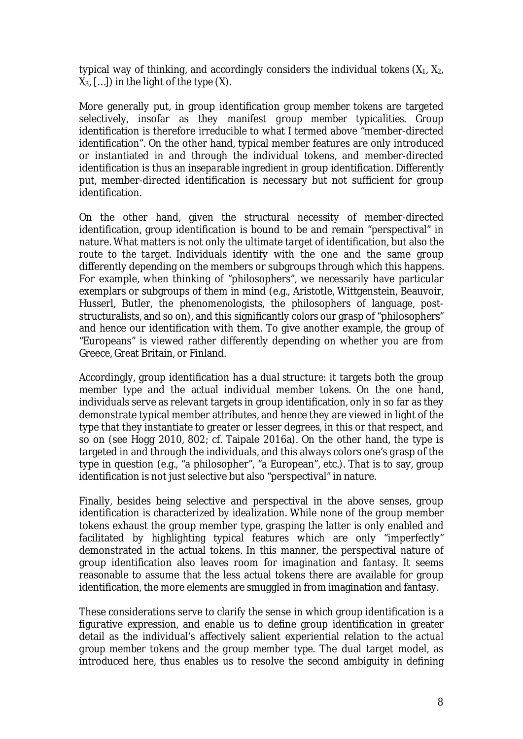typical way of thinking, and accordingly considers the individual *tokens* (X1, X2, X3, […]) in the light of the *type* (X).

More generally put, in group identification *group member tokens* are targeted selectively, insofar as they manifest *group member typicalities.* Group identification is therefore *irreducible* to what I termed above "member-directed identification". On the other hand, typical member features are only introduced or instantiated in and through the individual tokens, and member-directed identification is thus an *inseparable ingredient* in group identification. Differently put, member-directed identification is necessary but not sufficient for group identification.

On the other hand, given the structural necessity of member-directed identification, group identification is bound to be and remain "perspectival" in nature. What matters is not only the ultimate *target* of identification, but also the *route to the target.* Individuals identify with the one and the same group differently depending on the members or subgroups *through which* this happens. For example, when thinking of "philosophers", we necessarily have particular exemplars or subgroups of them in mind (e.g., Aristotle, Wittgenstein, Beauvoir, Husserl, Butler, the phenomenologists, the philosophers of language, poststructuralists, and so on), and this significantly *colors* our grasp of "philosophers" and hence our identification with them. To give another example, the group of "Europeans" is viewed rather differently depending on whether you are from Greece, Great Britain, or Finland.

Accordingly, group identification has a *dual structure*: it targets both the group member *type* and the actual individual member *tokens*. On the one hand, individuals serve as relevant targets in group identification, only in so far as they demonstrate typical member attributes, and hence they are viewed in light of the type that they instantiate to greater or lesser degrees, in this or that respect, and so on (see Hogg 2010, 802; cf. Taipale 2016a). On the other hand, the type is targeted in and through the individuals, and this always colors one's grasp of the type in question (e.g., "a philosopher", "a European", etc.). That is to say, group identification is not just selective but also "perspectival" in nature.

Finally, besides being selective and perspectival in the above senses, group identification is characterized by *idealization*. While none of the group member tokens exhaust the group member type, grasping the latter is only enabled and facilitated by *highlighting* typical features which are only "imperfectly" demonstrated in the actual tokens. In this manner, the perspectival nature of group identification also leaves room for *imagination* and *fantasy*. It seems reasonable to assume that the less actual tokens there are available for group identification, the more elements are smuggled in from imagination and fantasy.

These considerations serve to clarify the sense in which group identification is a figurative expression, and enable us to define group identification in greater detail as the individual's affectively salient experiential relation to *the actual group member tokens* and *the group member type*. The dual target model, as introduced here, thus enables us to resolve the second ambiguity in defining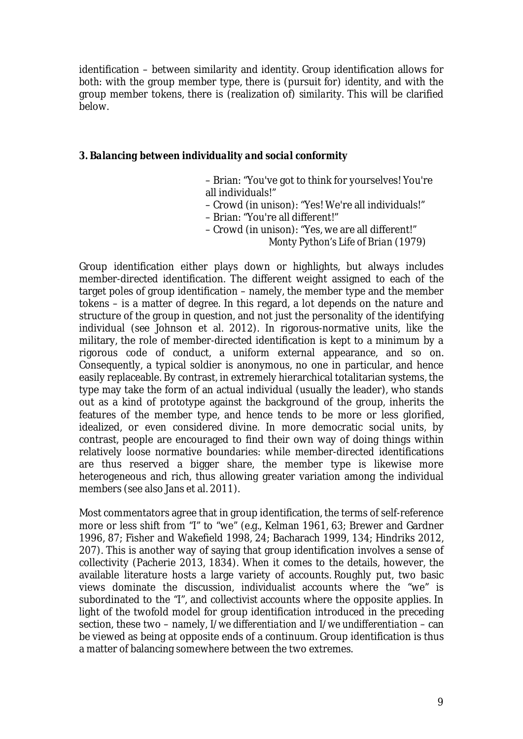identification – between similarity and identity. Group identification allows for *both*: with the group member type, there is (pursuit for) *identity*, and with the group member tokens, there is (realization of) *similarity*. This will be clarified below.

*3. Balancing between individuality and social conformity*

- Brian: "You've got to think for yourselves! You're all individuals!"
- Crowd (in unison): "Yes! We're all individuals!"
- Brian: "You're all different!"
- Crowd (in unison): "Yes, we are all different!"

*Monty Python's Life of Brian* (1979)

Group identification either plays down or highlights, but always includes member-directed identification. The different weight assigned to each of the target poles of group identification – namely, the member type and the member tokens – is a matter of *degree*. In this regard, a lot depends on the nature and structure of the group in question, and not just the personality of the identifying individual (see Johnson et al. 2012). In rigorous-normative units, like the military, the role of member-directed identification is kept to a minimum by a rigorous code of conduct, a uniform external appearance, and so on. Consequently, a typical soldier is anonymous, no one in particular, and hence easily replaceable. By contrast, in extremely hierarchical totalitarian systems, the type may take the form of an actual individual (usually the leader), who stands out as a kind of prototype against the background of the group, inherits the features of the member type, and hence tends to be more or less glorified, idealized, or even considered divine. In more democratic social units, by contrast, people are encouraged to find their own way of doing things within relatively loose normative boundaries: while member-directed identifications are thus reserved a bigger share, the member type is likewise more heterogeneous and rich, thus allowing greater variation among the individual members (see also Jans et al. 2011).

Most commentators agree that in group identification, the terms of self-reference more or less shift from "I" to "we" (e.g., Kelman 1961, 63; Brewer and Gardner 1996, 87; Fisher and Wakefield 1998, 24; Bacharach 1999, 134; Hindriks 2012, 207). This is another way of saying that group identification involves a sense of collectivity (Pacherie 2013, 1834). When it comes to the details, however, the available literature hosts a large variety of accounts. Roughly put, two basic views dominate the discussion, *individualist* accounts where the "we" is subordinated to the "I", and *collectivist* accounts where the opposite applies. In light of the twofold model for group identification introduced in the preceding section, these two – namely, *I/we differentiation* and *I/we undifferentiation* – can be viewed as being at opposite ends of a continuum. Group identification is thus a matter of balancing somewhere between the two extremes.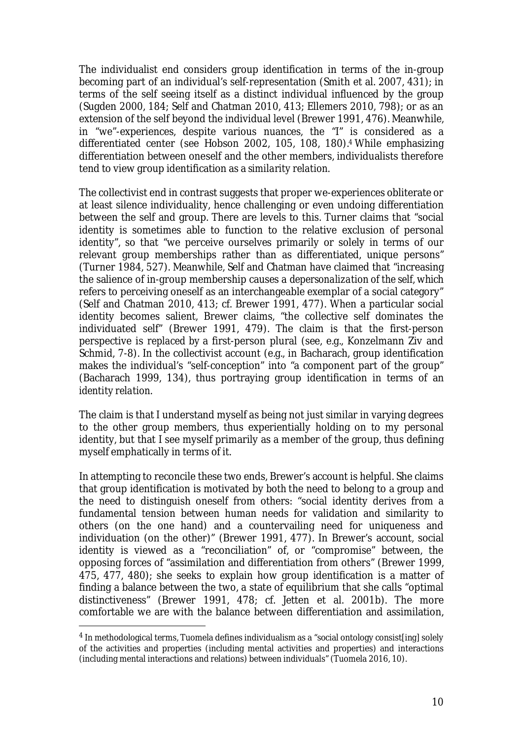The individualist end considers group identification in terms of the in-group becoming part of an individual's self-representation (Smith et al. 2007, 431); in terms of the self seeing itself as a distinct individual influenced by the group (Sugden 2000, 184; Self and Chatman 2010, 413; Ellemers 2010, 798); or as an extension of the self beyond the individual level (Brewer 1991, 476). Meanwhile, in "we"-experiences, despite various nuances, the "I" is considered as a differentiated center (see Hobson 2002, 105, 108, 180).4 While emphasizing differentiation between oneself and the other members, individualists therefore tend to view group identification as a *similarity relation*.

The collectivist end in contrast suggests that proper we-experiences obliterate or at least silence individuality, hence challenging or even undoing differentiation between the self and group. There are levels to this. Turner claims that "social identity is sometimes able to function to the relative exclusion of personal identity", so that "we perceive ourselves primarily or solely in terms of our relevant group memberships rather than as differentiated, unique persons" (Turner 1984, 527). Meanwhile, Self and Chatman have claimed that "increasing the salience of in-group membership causes a *depersonalization of the self,* which refers to perceiving oneself as an interchangeable exemplar of a social category" (Self and Chatman 2010, 413; cf. Brewer 1991, 477). When a particular social identity becomes salient, Brewer claims, "the collective self dominates the individuated self" (Brewer 1991, 479). The claim is that the first-person perspective is *replaced by* a first-person plural (see, e.g., Konzelmann Ziv and Schmid, 7-8). In the collectivist account (e.g., in Bacharach, group identification makes the individual's "self-conception" into "a component part of the group" (Bacharach 1999, 134), thus portraying group identification in terms of an *identity relation*.

The claim is that I understand myself as being not just similar in varying degrees to the other group members, thus experientially holding on to my personal identity, but that I see myself primarily as a member of the group, thus defining myself emphatically in terms of it.

In attempting to reconcile these two ends, Brewer's account is helpful. She claims that group identification is motivated by *both* the need to belong to a group *and* the need to distinguish oneself from others: "social identity derives from a fundamental tension between human needs for validation and similarity to others (on the one hand) and a countervailing need for uniqueness and individuation (on the other)" (Brewer 1991, 477). In Brewer's account, social identity is viewed as a "reconciliation" of, or "compromise" between, the opposing forces of "assimilation and differentiation from others" (Brewer 1999, 475, 477, 480); she seeks to explain how group identification is a matter of finding a balance between the two, a state of equilibrium that she calls "optimal distinctiveness" (Brewer 1991, 478; cf. Jetten et al. 2001b). The more comfortable we are with the balance between differentiation and assimilation,

<sup>4</sup> In methodological terms, Tuomela defines individualism as a "social ontology consist[ing] solely of the activities and properties (including mental activities and properties) and interactions (including mental interactions and relations) between individuals" (Tuomela 2016, 10).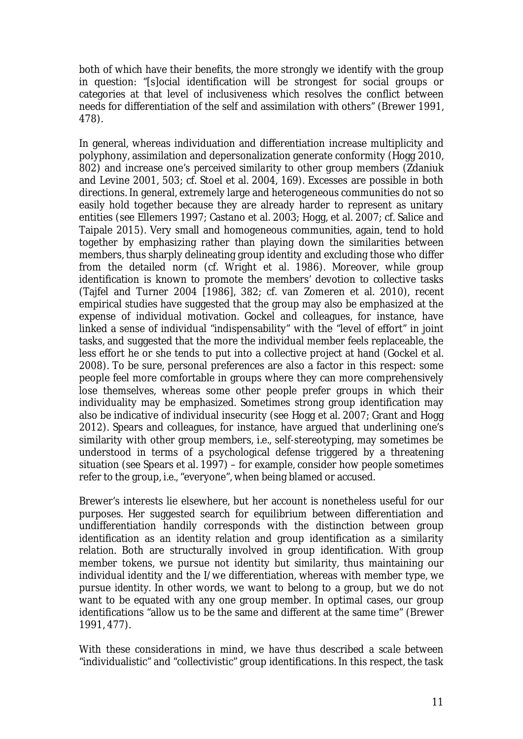both of which have their benefits, the more strongly we identify with the group in question: "[s]ocial identification will be strongest for social groups or categories at that level of inclusiveness which resolves the conflict between needs for differentiation of the self and assimilation with others" (Brewer 1991, 478).

In general, whereas individuation and differentiation increase multiplicity and polyphony, assimilation and depersonalization generate conformity (Hogg 2010, 802) and increase one's *perceived similarity* to other group members (Zdaniuk and Levine 2001, 503; cf. Stoel et al. 2004, 169). Excesses are possible in both directions. In general, extremely large and heterogeneous communities do not so easily hold together because they are already harder to represent as unitary entities (see Ellemers 1997; Castano et al. 2003; Hogg, et al. 2007; cf. Salice and Taipale 2015). Very small and homogeneous communities, again, tend to hold together by emphasizing rather than playing down the similarities between members, thus sharply delineating group identity and excluding those who differ from the detailed norm (cf. Wright et al. 1986). Moreover, while group identification is known to promote the members' devotion to collective tasks (Tajfel and Turner 2004 [1986], 382; cf. van Zomeren et al. 2010), recent empirical studies have suggested that the group may also be emphasized at the expense of individual motivation. Gockel and colleagues, for instance, have linked a sense of individual "indispensability" with the "level of effort" in joint tasks, and suggested that the more the individual member feels replaceable, the less effort he or she tends to put into a collective project at hand (Gockel et al. 2008). To be sure, personal preferences are also a factor in this respect: some people feel more comfortable in groups where they can more comprehensively lose themselves, whereas some other people prefer groups in which their individuality may be emphasized. Sometimes strong group identification may also be indicative of individual insecurity (see Hogg et al. 2007; Grant and Hogg 2012). Spears and colleagues, for instance, have argued that underlining one's similarity with other group members, i.e., self-stereotyping, may sometimes be understood in terms of a psychological defense triggered by a threatening situation (see Spears et al. 1997) – for example, consider how people sometimes refer to the group, i.e., "everyone", when being blamed or accused.

Brewer's interests lie elsewhere, but her account is nonetheless useful for our purposes. Her suggested search for equilibrium between differentiation and undifferentiation handily corresponds with the distinction between group identification as an *identity relation* and group identification as a *similarity relation*. Both are structurally involved in group identification. With group member tokens, we pursue not identity but *similarity*, thus maintaining our individual identity and the I/we differentiation, whereas with member type, we pursue *identity*. In other words, we want to belong to a group, but we do not want to be equated with any one group member. In optimal cases, our group identifications "allow us to be the same and different at the same time" (Brewer 1991, 477).

With these considerations in mind, we have thus described *a scale* between "individualistic" and "collectivistic" group identifications. In this respect, the task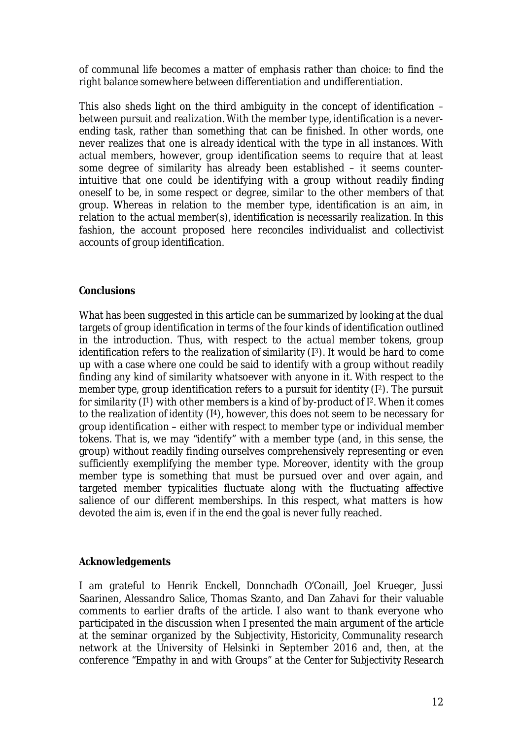of communal life becomes a matter of *emphasis* rather than *choice*: to find the right balance somewhere between differentiation and undifferentiation.

This also sheds light on the third ambiguity in the concept of identification – between *pursuit* and *realization*. With the member type, identification is a neverending task, rather than something that can be finished. In other words, one never realizes that one is *already* identical with the type in all instances. With actual members, however, group identification seems to require that at least some degree of similarity has already been established – it seems counterintuitive that one could be identifying with a group without *readily* finding oneself to be, in some respect or degree, similar to the other members of that group. Whereas in relation to the member type, identification is an *aim*, in relation to the actual member(s), identification is necessarily *realization*. In this fashion, the account proposed here reconciles individualist and collectivist accounts of group identification.

#### *Conclusions*

What has been suggested in this article can be summarized by looking at the dual targets of group identification in terms of the four kinds of identification outlined in the introduction. Thus, with respect to the *actual member tokens*, group identification refers to the *realization of similarity* (I3). It would be hard to come up with a case where one could be said to identify with a group without readily finding any kind of similarity whatsoever with anyone in it. With respect to the *member type*, group identification refers to a *pursuit for identity* (I2). The *pursuit* for similarity (1<sup>1</sup>) with other members is a kind of by-product of 1<sup>2</sup>. When it comes to the *realization of identity* (I4), however, this does not seem to be necessary for group identification – either with respect to member type or individual member tokens. That is, we may "identify" with a member type (and, in this sense, the group) without readily finding ourselves comprehensively representing or even sufficiently exemplifying the member type. Moreover, identity with the group member type is something that must be pursued over and over again, and targeted member typicalities fluctuate along with the fluctuating affective salience of our different memberships. In this respect, what matters is how devoted the aim is, even if in the end the goal is never fully reached.

# *Acknowledgements*

I am grateful to Henrik Enckell, Donnchadh O'Conaill, Joel Krueger, Jussi Saarinen, Alessandro Salice, Thomas Szanto, and Dan Zahavi for their valuable comments to earlier drafts of the article. I also want to thank everyone who participated in the discussion when I presented the main argument of the article at the seminar organized by the *Subjectivity, Historicity, Communality* research network at the University of Helsinki in September 2016 and, then, at the conference "Empathy in and with Groups" at the *Center for Subjectivity Research*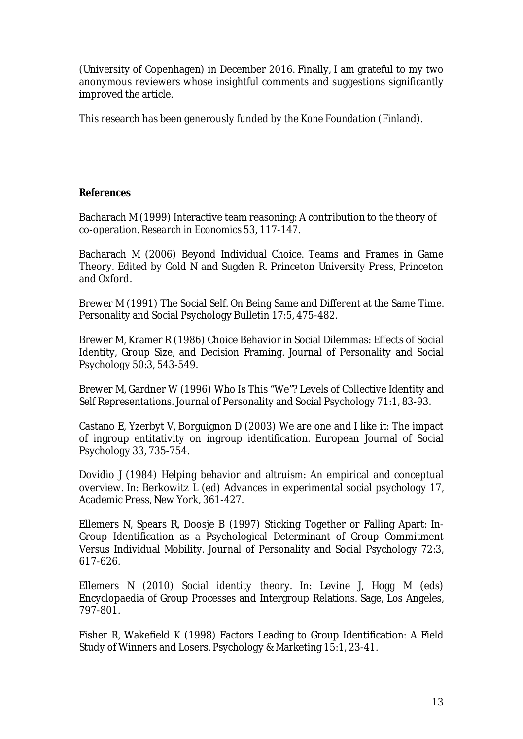(University of Copenhagen) in December 2016. Finally, I am grateful to my two anonymous reviewers whose insightful comments and suggestions significantly improved the article.

This research has been generously funded by the *Kone Foundation* (Finland).

#### *References*

Bacharach M (1999) Interactive team reasoning: A contribution to the theory of co-operation. *Research in Economics* 53, 117-147.

Bacharach M (2006) Beyond Individual Choice. Teams and Frames in Game Theory*.* Edited by Gold N and Sugden R. Princeton University Press, Princeton and Oxford.

Brewer M (1991) The Social Self. On Being Same and Different at the Same Time. Personality and Social Psychology Bulletin 17:5, 475-482.

Brewer M, Kramer R (1986) Choice Behavior in Social Dilemmas: Effects of Social Identity, Group Size, and Decision Framing. Journal of Personality and Social Psychology 50:3, 543-549.

Brewer M, Gardner W (1996) Who Is This "We"? Levels of Collective Identity and Self Representations. Journal of Personality and Social Psychology 71:1, 83-93.

Castano E, Yzerbyt V, Borguignon D (2003) We are one and I like it: The impact of ingroup entitativity on ingroup identification. European Journal of Social Psychology 33, 735-754.

Dovidio J (1984) Helping behavior and altruism: An empirical and conceptual overview. In: Berkowitz L (ed) Advances in experimental social psychology 17, Academic Press, New York, 361-427.

Ellemers N, Spears R, Doosje B (1997) Sticking Together or Falling Apart: In-Group Identification as a Psychological Determinant of Group Commitment Versus Individual Mobility. Journal of Personality and Social Psychology 72:3, 617-626.

Ellemers N (2010) Social identity theory. In: Levine J, Hogg M (eds) Encyclopaedia of Group Processes and Intergroup Relations. Sage, Los Angeles, 797-801.

Fisher R, Wakefield K (1998) Factors Leading to Group Identification: A Field Study of Winners and Losers. Psychology & Marketing 15:1, 23-41.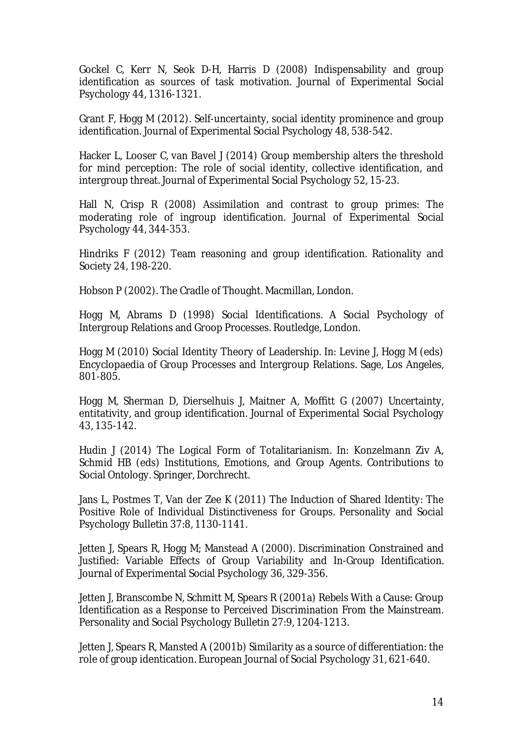Gockel C, Kerr N, Seok D-H, Harris D (2008) Indispensability and group identification as sources of task motivation. Journal of Experimental Social Psychology 44, 1316-1321.

Grant F, Hogg M (2012). Self-uncertainty, social identity prominence and group identification. Journal of Experimental Social Psychology 48, 538-542.

Hacker L, Looser C, van Bavel J (2014) Group membership alters the threshold for mind perception: The role of social identity, collective identification, and intergroup threat. Journal of Experimental Social Psychology 52, 15-23.

Hall N, Crisp R (2008) Assimilation and contrast to group primes: The moderating role of ingroup identification. Journal of Experimental Social Psychology 44, 344-353.

Hindriks F (2012) Team reasoning and group identification. Rationality and Society 24, 198-220.

Hobson P (2002). The Cradle of Thought. Macmillan, London.

Hogg M, Abrams D (1998) Social Identifications. A Social Psychology of Intergroup Relations and Groop Processes. Routledge, London.

Hogg M (2010) Social Identity Theory of Leadership. In: Levine J, Hogg M (eds) Encyclopaedia of Group Processes and Intergroup Relations. Sage, Los Angeles, 801-805.

Hogg M, Sherman D, Dierselhuis J, Maitner A, Moffitt G (2007) Uncertainty, entitativity, and group identification. Journal of Experimental Social Psychology 43, 135-142.

Hudin J (2014) The Logical Form of Totalitarianism. In: Konzelmann Ziv A, Schmid HB (eds) Institutions, Emotions, and Group Agents. Contributions to Social Ontology*.* Springer, Dorchrecht.

Jans L, Postmes T, Van der Zee K (2011) The Induction of Shared Identity: The Positive Role of Individual Distinctiveness for Groups. Personality and Social Psychology Bulletin 37:8, 1130-1141.

Jetten J, Spears R, Hogg M; Manstead A (2000). Discrimination Constrained and Justified: Variable Effects of Group Variability and In-Group Identification. Journal of Experimental Social Psychology 36, 329-356.

Jetten J, Branscombe N, Schmitt M, Spears R (2001a) Rebels With a Cause: Group Identification as a Response to Perceived Discrimination From the Mainstream. Personality and Social Psychology Bulletin 27:9, 1204-1213.

Jetten J, Spears R, Mansted A (2001b) Similarity as a source of differentiation: the role of group identication. European Journal of Social Psychology 31, 621-640.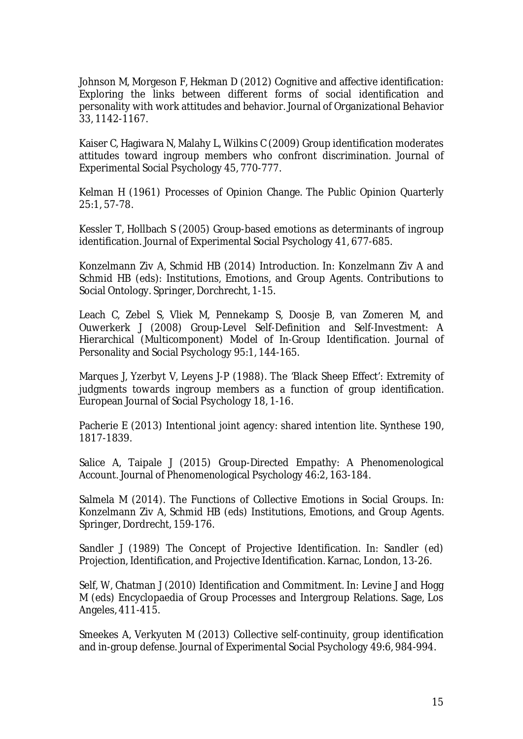Johnson M, Morgeson F, Hekman D (2012) Cognitive and affective identification: Exploring the links between different forms of social identification and personality with work attitudes and behavior. Journal of Organizational Behavior 33, 1142-1167.

Kaiser C, Hagiwara N, Malahy L, Wilkins C (2009) Group identification moderates attitudes toward ingroup members who confront discrimination. Journal of Experimental Social Psychology 45, 770-777.

Kelman H (1961) Processes of Opinion Change. The Public Opinion Quarterly 25:1, 57-78.

Kessler T, Hollbach S (2005) Group-based emotions as determinants of ingroup identification. Journal of Experimental Social Psychology 41, 677-685.

Konzelmann Ziv A, Schmid HB (2014) Introduction. In: Konzelmann Ziv A and Schmid HB (eds): Institutions, Emotions, and Group Agents. Contributions to Social Ontology. Springer, Dorchrecht, 1-15.

Leach C, Zebel S, Vliek M, Pennekamp S, Doosje B, van Zomeren M, and Ouwerkerk J (2008) Group-Level Self-Definition and Self-Investment: A Hierarchical (Multicomponent) Model of In-Group Identification. Journal of Personality and Social Psychology 95:1, 144-165.

Marques J, Yzerbyt V, Leyens J-P (1988). The 'Black Sheep Effect': Extremity of judgments towards ingroup members as a function of group identification. European Journal of Social Psychology 18, 1-16.

Pacherie E (2013) Intentional joint agency: shared intention lite. Synthese 190, 1817-1839.

Salice A, Taipale J (2015) Group-Directed Empathy: A Phenomenological Account. Journal of Phenomenological Psychology 46:2, 163-184.

Salmela M (2014). The Functions of Collective Emotions in Social Groups. In: Konzelmann Ziv A, Schmid HB (eds) Institutions, Emotions, and Group Agents. Springer, Dordrecht, 159-176.

Sandler J (1989) The Concept of Projective Identification. In: Sandler (ed) Projection, Identification, and Projective Identification. Karnac, London, 13-26.

Self, W, Chatman J (2010) Identification and Commitment. In: Levine J and Hogg M (eds) Encyclopaedia of Group Processes and Intergroup Relations. Sage, Los Angeles, 411-415.

Smeekes A, Verkyuten M (2013) Collective self-continuity, group identification and in-group defense. Journal of Experimental Social Psychology 49:6, 984-994.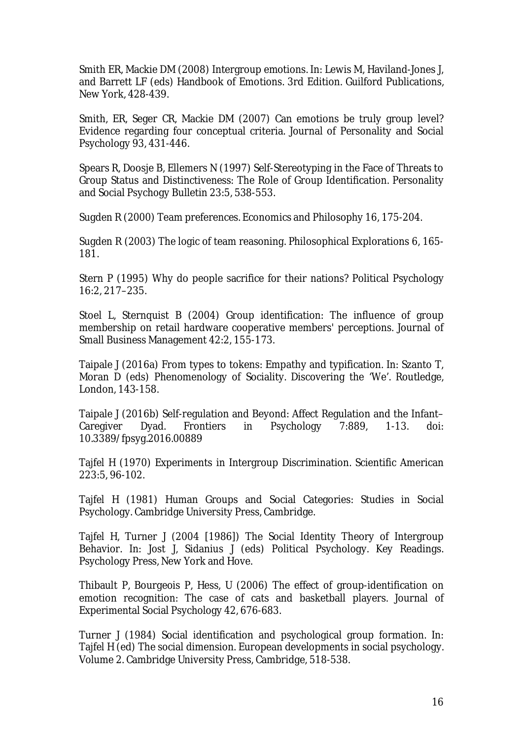Smith ER, Mackie DM (2008) Intergroup emotions. In: Lewis M, Haviland-Jones J, and Barrett LF (eds) Handbook of Emotions. 3rd Edition. Guilford Publications, New York, 428-439.

Smith, ER, Seger CR, Mackie DM (2007) Can emotions be truly group level? Evidence regarding four conceptual criteria. Journal of Personality and Social Psychology 93, 431-446.

Spears R, Doosje B, Ellemers N (1997) Self-Stereotyping in the Face of Threats to Group Status and Distinctiveness: The Role of Group Identification. Personality and Social Psychogy Bulletin 23:5, 538-553.

Sugden R (2000) Team preferences. Economics and Philosophy 16, 175-204.

Sugden R (2003) The logic of team reasoning. Philosophical Explorations 6, 165- 181.

Stern P (1995) Why do people sacrifice for their nations? Political Psychology 16:2, 217–235.

Stoel L, Sternquist B (2004) Group identification: The influence of group membership on retail hardware cooperative members' perceptions. Journal of Small Business Management 42:2, 155-173.

Taipale J (2016a) From types to tokens: Empathy and typification. In: Szanto T, Moran D (eds) Phenomenology of Sociality. Discovering the 'We'. Routledge, London, 143-158.

Taipale J (2016b) Self-regulation and Beyond: Affect Regulation and the Infant– Caregiver Dyad. Frontiers in Psychology 7:889, 1-13. doi: 10.3389/fpsyg.2016.00889

Tajfel H (1970) Experiments in Intergroup Discrimination. Scientific American 223:5, 96-102.

Tajfel H (1981) Human Groups and Social Categories: Studies in Social Psychology. Cambridge University Press, Cambridge.

Tajfel H, Turner J (2004 [1986]) The Social Identity Theory of Intergroup Behavior. In: Jost J, Sidanius J (eds) Political Psychology. Key Readings. Psychology Press, New York and Hove.

Thibault P, Bourgeois P, Hess, U (2006) The effect of group-identification on emotion recognition: The case of cats and basketball players. Journal of Experimental Social Psychology 42, 676-683.

Turner J (1984) Social identification and psychological group formation. In: Tajfel H (ed) The social dimension. European developments in social psychology. Volume 2. Cambridge University Press, Cambridge, 518-538.